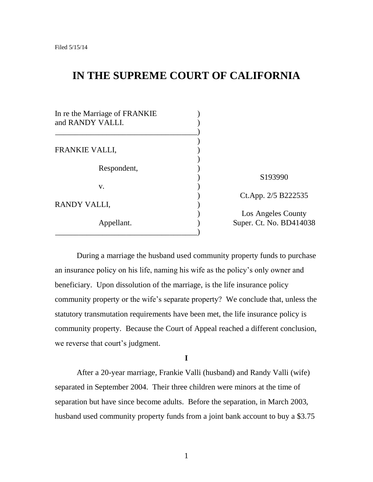# **IN THE SUPREME COURT OF CALIFORNIA**

| In re the Marriage of FRANKIE<br>and RANDY VALLI. |                         |
|---------------------------------------------------|-------------------------|
| <b>FRANKIE VALLI,</b>                             |                         |
| Respondent,                                       |                         |
|                                                   | S193990                 |
| V.                                                |                         |
|                                                   | Ct.App. 2/5 B222535     |
| RANDY VALLI,                                      |                         |
|                                                   | Los Angeles County      |
| Appellant.                                        | Super. Ct. No. BD414038 |
|                                                   |                         |

During a marriage the husband used community property funds to purchase an insurance policy on his life, naming his wife as the policy"s only owner and beneficiary. Upon dissolution of the marriage, is the life insurance policy community property or the wife"s separate property? We conclude that, unless the statutory transmutation requirements have been met, the life insurance policy is community property. Because the Court of Appeal reached a different conclusion, we reverse that court's judgment.

**I**

After a 20-year marriage, Frankie Valli (husband) and Randy Valli (wife) separated in September 2004. Their three children were minors at the time of separation but have since become adults. Before the separation, in March 2003, husband used community property funds from a joint bank account to buy a \$3.75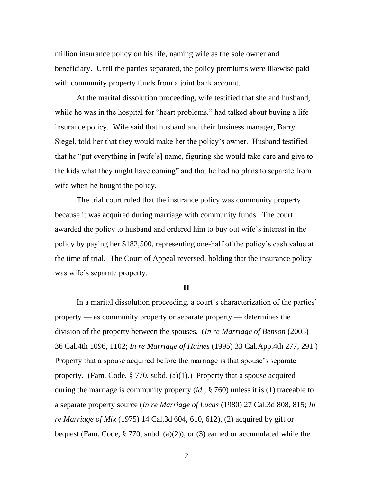million insurance policy on his life, naming wife as the sole owner and beneficiary. Until the parties separated, the policy premiums were likewise paid with community property funds from a joint bank account.

At the marital dissolution proceeding, wife testified that she and husband, while he was in the hospital for "heart problems," had talked about buying a life insurance policy. Wife said that husband and their business manager, Barry Siegel, told her that they would make her the policy"s owner. Husband testified that he "put everything in [wife"s] name, figuring she would take care and give to the kids what they might have coming" and that he had no plans to separate from wife when he bought the policy.

The trial court ruled that the insurance policy was community property because it was acquired during marriage with community funds. The court awarded the policy to husband and ordered him to buy out wife"s interest in the policy by paying her \$182,500, representing one-half of the policy"s cash value at the time of trial. The Court of Appeal reversed, holding that the insurance policy was wife's separate property.

#### **II**

In a marital dissolution proceeding, a court's characterization of the parties' property — as community property or separate property — determines the division of the property between the spouses. (*In re Marriage of Benson* (2005) 36 Cal.4th 1096, 1102; *In re Marriage of Haines* (1995) 33 Cal.App.4th 277, 291.) Property that a spouse acquired before the marriage is that spouse's separate property. (Fam. Code,  $\S 770$ , subd. (a)(1).) Property that a spouse acquired during the marriage is community property (*id.*, § 760) unless it is (1) traceable to a separate property source (*In re Marriage of Lucas* (1980) 27 Cal.3d 808, 815; *In re Marriage of Mix* (1975) 14 Cal.3d 604, 610, 612), (2) acquired by gift or bequest (Fam. Code, § 770, subd. (a)(2)), or (3) earned or accumulated while the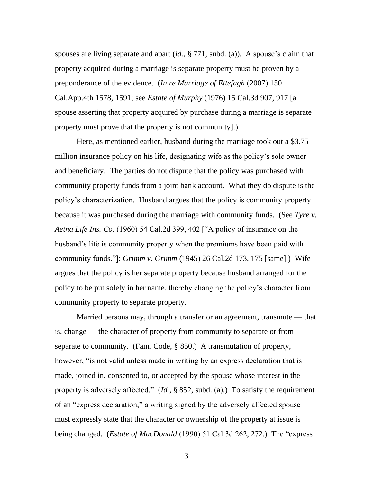spouses are living separate and apart *(id.*, § 771, subd. (a)). A spouse's claim that property acquired during a marriage is separate property must be proven by a preponderance of the evidence. (*In re Marriage of Ettefagh* (2007) 150 Cal.App.4th 1578, 1591; see *Estate of Murphy* (1976) 15 Cal.3d 907, 917 [a spouse asserting that property acquired by purchase during a marriage is separate property must prove that the property is not community].)

Here, as mentioned earlier, husband during the marriage took out a \$3.75 million insurance policy on his life, designating wife as the policy"s sole owner and beneficiary. The parties do not dispute that the policy was purchased with community property funds from a joint bank account. What they do dispute is the policy"s characterization. Husband argues that the policy is community property because it was purchased during the marriage with community funds. (See *Tyre v. Aetna Life Ins. Co.* (1960) 54 Cal.2d 399, 402 ["A policy of insurance on the husband's life is community property when the premiums have been paid with community funds."]; *Grimm v. Grimm* (1945) 26 Cal.2d 173, 175 [same].) Wife argues that the policy is her separate property because husband arranged for the policy to be put solely in her name, thereby changing the policy"s character from community property to separate property.

Married persons may, through a transfer or an agreement, transmute — that is, change — the character of property from community to separate or from separate to community. (Fam. Code, § 850.) A transmutation of property, however, "is not valid unless made in writing by an express declaration that is made, joined in, consented to, or accepted by the spouse whose interest in the property is adversely affected." (*Id.*, § 852, subd. (a).) To satisfy the requirement of an "express declaration," a writing signed by the adversely affected spouse must expressly state that the character or ownership of the property at issue is being changed. (*Estate of MacDonald* (1990) 51 Cal.3d 262, 272.) The "express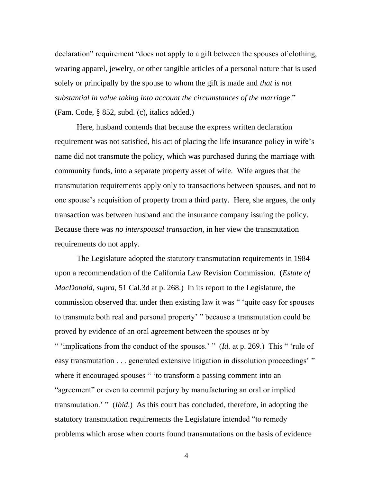declaration" requirement "does not apply to a gift between the spouses of clothing, wearing apparel, jewelry, or other tangible articles of a personal nature that is used solely or principally by the spouse to whom the gift is made and *that is not substantial in value taking into account the circumstances of the marriage*." (Fam. Code, § 852, subd. (c), italics added.)

Here, husband contends that because the express written declaration requirement was not satisfied, his act of placing the life insurance policy in wife's name did not transmute the policy, which was purchased during the marriage with community funds, into a separate property asset of wife. Wife argues that the transmutation requirements apply only to transactions between spouses, and not to one spouse"s acquisition of property from a third party. Here, she argues, the only transaction was between husband and the insurance company issuing the policy. Because there was *no interspousal transaction*, in her view the transmutation requirements do not apply.

The Legislature adopted the statutory transmutation requirements in 1984 upon a recommendation of the California Law Revision Commission. (*Estate of MacDonald*, *supra*, 51 Cal.3d at p. 268.) In its report to the Legislature, the commission observed that under then existing law it was " "quite easy for spouses to transmute both real and personal property" " because a transmutation could be proved by evidence of an oral agreement between the spouses or by " "implications from the conduct of the spouses." " (*Id.* at p. 269.) This " 'rule of easy transmutation . . . generated extensive litigation in dissolution proceedings'" where it encouraged spouses " 'to transform a passing comment into an "agreement" or even to commit perjury by manufacturing an oral or implied transmutation." " (*Ibid*.) As this court has concluded, therefore, in adopting the statutory transmutation requirements the Legislature intended "to remedy problems which arose when courts found transmutations on the basis of evidence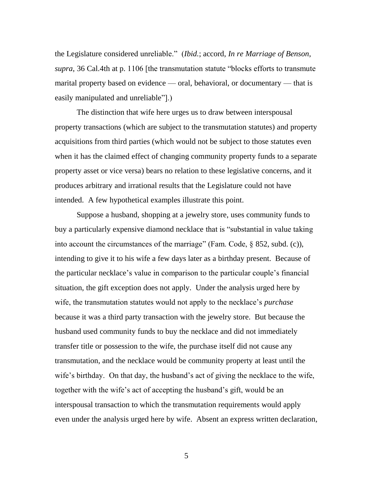the Legislature considered unreliable." (*Ibid.*; accord, *In re Marriage of Benson*, *supra*, 36 Cal.4th at p. 1106 [the transmutation statute "blocks efforts to transmute marital property based on evidence — oral, behavioral, or documentary — that is easily manipulated and unreliable"].)

The distinction that wife here urges us to draw between interspousal property transactions (which are subject to the transmutation statutes) and property acquisitions from third parties (which would not be subject to those statutes even when it has the claimed effect of changing community property funds to a separate property asset or vice versa) bears no relation to these legislative concerns, and it produces arbitrary and irrational results that the Legislature could not have intended. A few hypothetical examples illustrate this point.

Suppose a husband, shopping at a jewelry store, uses community funds to buy a particularly expensive diamond necklace that is "substantial in value taking into account the circumstances of the marriage" (Fam. Code, § 852, subd. (c)), intending to give it to his wife a few days later as a birthday present. Because of the particular necklace"s value in comparison to the particular couple"s financial situation, the gift exception does not apply. Under the analysis urged here by wife, the transmutation statutes would not apply to the necklace"s *purchase* because it was a third party transaction with the jewelry store. But because the husband used community funds to buy the necklace and did not immediately transfer title or possession to the wife, the purchase itself did not cause any transmutation, and the necklace would be community property at least until the wife's birthday. On that day, the husband's act of giving the necklace to the wife, together with the wife"s act of accepting the husband"s gift, would be an interspousal transaction to which the transmutation requirements would apply even under the analysis urged here by wife. Absent an express written declaration,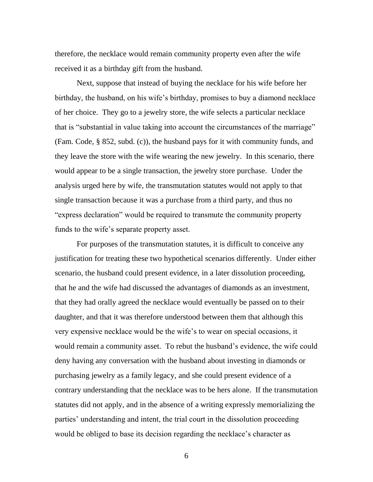therefore, the necklace would remain community property even after the wife received it as a birthday gift from the husband.

Next, suppose that instead of buying the necklace for his wife before her birthday, the husband, on his wife's birthday, promises to buy a diamond necklace of her choice. They go to a jewelry store, the wife selects a particular necklace that is "substantial in value taking into account the circumstances of the marriage" (Fam. Code, § 852, subd. (c)), the husband pays for it with community funds, and they leave the store with the wife wearing the new jewelry. In this scenario, there would appear to be a single transaction, the jewelry store purchase. Under the analysis urged here by wife, the transmutation statutes would not apply to that single transaction because it was a purchase from a third party, and thus no "express declaration" would be required to transmute the community property funds to the wife's separate property asset.

For purposes of the transmutation statutes, it is difficult to conceive any justification for treating these two hypothetical scenarios differently. Under either scenario, the husband could present evidence, in a later dissolution proceeding, that he and the wife had discussed the advantages of diamonds as an investment, that they had orally agreed the necklace would eventually be passed on to their daughter, and that it was therefore understood between them that although this very expensive necklace would be the wife"s to wear on special occasions, it would remain a community asset. To rebut the husband"s evidence, the wife could deny having any conversation with the husband about investing in diamonds or purchasing jewelry as a family legacy, and she could present evidence of a contrary understanding that the necklace was to be hers alone. If the transmutation statutes did not apply, and in the absence of a writing expressly memorializing the parties' understanding and intent, the trial court in the dissolution proceeding would be obliged to base its decision regarding the necklace's character as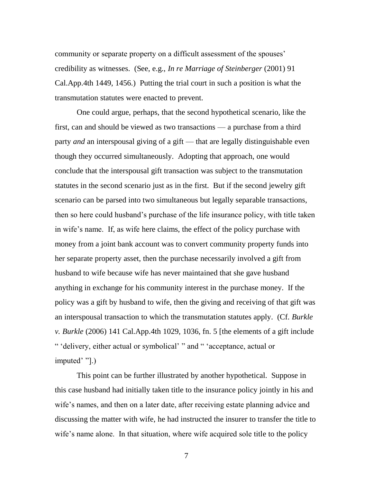community or separate property on a difficult assessment of the spouses" credibility as witnesses. (See, e.g., *In re Marriage of Steinberger* (2001) 91 Cal.App.4th 1449, 1456.) Putting the trial court in such a position is what the transmutation statutes were enacted to prevent.

One could argue, perhaps, that the second hypothetical scenario, like the first, can and should be viewed as two transactions — a purchase from a third party *and* an interspousal giving of a gift — that are legally distinguishable even though they occurred simultaneously. Adopting that approach, one would conclude that the interspousal gift transaction was subject to the transmutation statutes in the second scenario just as in the first. But if the second jewelry gift scenario can be parsed into two simultaneous but legally separable transactions, then so here could husband"s purchase of the life insurance policy, with title taken in wife"s name. If, as wife here claims, the effect of the policy purchase with money from a joint bank account was to convert community property funds into her separate property asset, then the purchase necessarily involved a gift from husband to wife because wife has never maintained that she gave husband anything in exchange for his community interest in the purchase money. If the policy was a gift by husband to wife, then the giving and receiving of that gift was an interspousal transaction to which the transmutation statutes apply. (Cf. *Burkle v. Burkle* (2006) 141 Cal.App.4th 1029, 1036, fn. 5 [the elements of a gift include " "delivery, either actual or symbolical" " and " "acceptance, actual or imputed' "[.]

This point can be further illustrated by another hypothetical. Suppose in this case husband had initially taken title to the insurance policy jointly in his and wife's names, and then on a later date, after receiving estate planning advice and discussing the matter with wife, he had instructed the insurer to transfer the title to wife's name alone. In that situation, where wife acquired sole title to the policy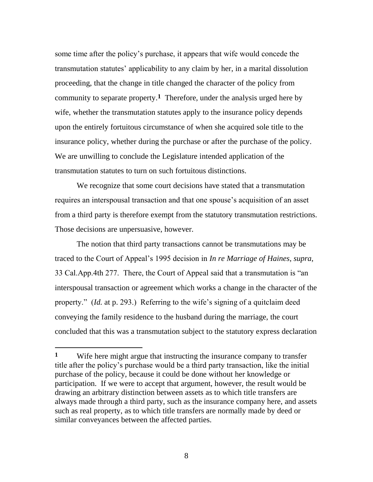some time after the policy"s purchase, it appears that wife would concede the transmutation statutes" applicability to any claim by her, in a marital dissolution proceeding, that the change in title changed the character of the policy from community to separate property.**1** Therefore, under the analysis urged here by wife, whether the transmutation statutes apply to the insurance policy depends upon the entirely fortuitous circumstance of when she acquired sole title to the insurance policy, whether during the purchase or after the purchase of the policy. We are unwilling to conclude the Legislature intended application of the transmutation statutes to turn on such fortuitous distinctions.

We recognize that some court decisions have stated that a transmutation requires an interspousal transaction and that one spouse's acquisition of an asset from a third party is therefore exempt from the statutory transmutation restrictions. Those decisions are unpersuasive, however.

The notion that third party transactions cannot be transmutations may be traced to the Court of Appeal"s 1995 decision in *In re Marriage of Haines*, *supra*, 33 Cal.App.4th 277. There, the Court of Appeal said that a transmutation is "an interspousal transaction or agreement which works a change in the character of the property." (*Id.* at p. 293.) Referring to the wife"s signing of a quitclaim deed conveying the family residence to the husband during the marriage, the court concluded that this was a transmutation subject to the statutory express declaration

**<sup>1</sup>** Wife here might argue that instructing the insurance company to transfer title after the policy"s purchase would be a third party transaction, like the initial purchase of the policy, because it could be done without her knowledge or participation. If we were to accept that argument, however, the result would be drawing an arbitrary distinction between assets as to which title transfers are always made through a third party, such as the insurance company here, and assets such as real property, as to which title transfers are normally made by deed or similar conveyances between the affected parties.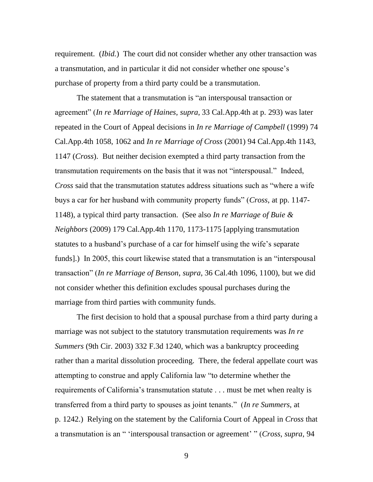requirement. (*Ibid.*) The court did not consider whether any other transaction was a transmutation, and in particular it did not consider whether one spouse"s purchase of property from a third party could be a transmutation.

The statement that a transmutation is "an interspousal transaction or agreement" (*In re Marriage of Haines*, *supra*, 33 Cal.App.4th at p. 293) was later repeated in the Court of Appeal decisions in *In re Marriage of Campbell* (1999) 74 Cal.App.4th 1058, 1062 and *In re Marriage of Cross* (2001) 94 Cal.App.4th 1143, 1147 (*Cross*). But neither decision exempted a third party transaction from the transmutation requirements on the basis that it was not "interspousal." Indeed, *Cross* said that the transmutation statutes address situations such as "where a wife buys a car for her husband with community property funds" (*Cross*, at pp. 1147- 1148), a typical third party transaction. (See also *In re Marriage of Buie & Neighbors* (2009) 179 Cal.App.4th 1170, 1173-1175 [applying transmutation statutes to a husband's purchase of a car for himself using the wife's separate funds].) In 2005, this court likewise stated that a transmutation is an "interspousal transaction" (*In re Marriage of Benson*, *supra*, 36 Cal.4th 1096, 1100), but we did not consider whether this definition excludes spousal purchases during the marriage from third parties with community funds.

The first decision to hold that a spousal purchase from a third party during a marriage was not subject to the statutory transmutation requirements was *In re Summers* (9th Cir. 2003) 332 F.3d 1240, which was a bankruptcy proceeding rather than a marital dissolution proceeding. There, the federal appellate court was attempting to construe and apply California law "to determine whether the requirements of California's transmutation statute . . . must be met when realty is transferred from a third party to spouses as joint tenants." (*In re Summers*, at p. 1242.) Relying on the statement by the California Court of Appeal in *Cross* that a transmutation is an " "interspousal transaction or agreement" " (*Cross*, *supra*, 94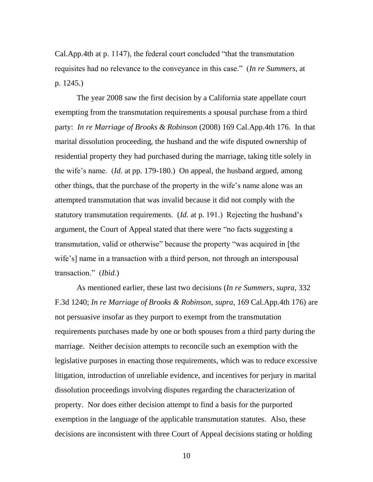Cal.App.4th at p. 1147), the federal court concluded "that the transmutation requisites had no relevance to the conveyance in this case." (*In re Summers*, at p. 1245.)

The year 2008 saw the first decision by a California state appellate court exempting from the transmutation requirements a spousal purchase from a third party: *In re Marriage of Brooks & Robinson* (2008) 169 Cal.App.4th 176. In that marital dissolution proceeding, the husband and the wife disputed ownership of residential property they had purchased during the marriage, taking title solely in the wife"s name. (*Id.* at pp. 179-180.) On appeal, the husband argued, among other things, that the purchase of the property in the wife"s name alone was an attempted transmutation that was invalid because it did not comply with the statutory transmutation requirements. (*Id.* at p. 191.) Rejecting the husband's argument, the Court of Appeal stated that there were "no facts suggesting a transmutation, valid or otherwise" because the property "was acquired in [the wife's] name in a transaction with a third person, not through an interspousal transaction." (*Ibid.*)

As mentioned earlier, these last two decisions (*In re Summers*, *supra*, 332 F.3d 1240; *In re Marriage of Brooks & Robinson*, *supra*, 169 Cal.App.4th 176) are not persuasive insofar as they purport to exempt from the transmutation requirements purchases made by one or both spouses from a third party during the marriage. Neither decision attempts to reconcile such an exemption with the legislative purposes in enacting those requirements, which was to reduce excessive litigation, introduction of unreliable evidence, and incentives for perjury in marital dissolution proceedings involving disputes regarding the characterization of property. Nor does either decision attempt to find a basis for the purported exemption in the language of the applicable transmutation statutes. Also, these decisions are inconsistent with three Court of Appeal decisions stating or holding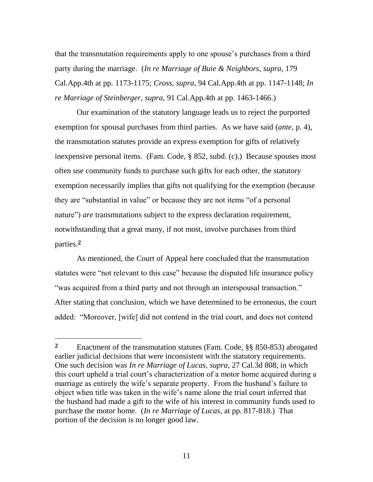that the transmutation requirements apply to one spouse"s purchases from a third party during the marriage. (*In re Marriage of Buie & Neighbors*, *supra*, 179 Cal.App.4th at pp. 1173-1175; *Cross*, *supra*, 94 Cal.App.4th at pp. 1147-1148; *In re Marriage of Steinberger*, *supra*, 91 Cal.App.4th at pp. 1463-1466.)

Our examination of the statutory language leads us to reject the purported exemption for spousal purchases from third parties. As we have said (*ante*, p. 4), the transmutation statutes provide an express exemption for gifts of relatively inexpensive personal items. (Fam. Code, § 852, subd. (c).) Because spouses most often use community funds to purchase such gifts for each other, the statutory exemption necessarily implies that gifts not qualifying for the exemption (because they are "substantial in value" or because they are not items "of a personal nature") *are* transmutations subject to the express declaration requirement, notwithstanding that a great many, if not most, involve purchases from third parties.**2**

As mentioned, the Court of Appeal here concluded that the transmutation statutes were "not relevant to this case" because the disputed life insurance policy "was acquired from a third party and not through an interspousal transaction." After stating that conclusion, which we have determined to be erroneous, the court added: "Moreover, [wife] did not contend in the trial court, and does not contend

 $\overline{a}$ 

**<sup>2</sup>** Enactment of the transmutation statutes (Fam. Code, §§ 850-853) abrogated earlier judicial decisions that were inconsistent with the statutory requirements. One such decision was *In re Marriage of Lucas*, *supra*, 27 Cal.3d 808, in which this court upheld a trial court's characterization of a motor home acquired during a marriage as entirely the wife's separate property. From the husband's failure to object when title was taken in the wife"s name alone the trial court inferred that the husband had made a gift to the wife of his interest in community funds used to purchase the motor home. (*In re Marriage of Lucas*, at pp. 817-818.) That portion of the decision is no longer good law.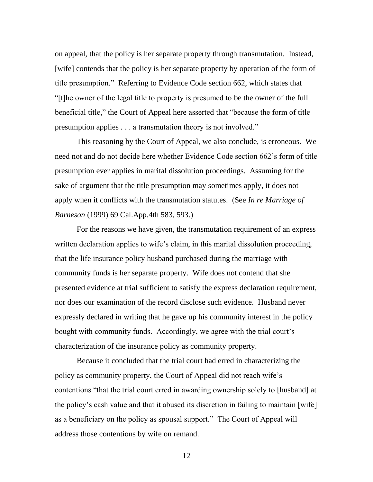on appeal, that the policy is her separate property through transmutation. Instead, [wife] contends that the policy is her separate property by operation of the form of title presumption." Referring to Evidence Code section 662, which states that "[t]he owner of the legal title to property is presumed to be the owner of the full beneficial title," the Court of Appeal here asserted that "because the form of title presumption applies . . . a transmutation theory is not involved."

This reasoning by the Court of Appeal, we also conclude, is erroneous. We need not and do not decide here whether Evidence Code section 662"s form of title presumption ever applies in marital dissolution proceedings. Assuming for the sake of argument that the title presumption may sometimes apply, it does not apply when it conflicts with the transmutation statutes. (See *In re Marriage of Barneson* (1999) 69 Cal.App.4th 583, 593.)

For the reasons we have given, the transmutation requirement of an express written declaration applies to wife's claim, in this marital dissolution proceeding, that the life insurance policy husband purchased during the marriage with community funds is her separate property. Wife does not contend that she presented evidence at trial sufficient to satisfy the express declaration requirement, nor does our examination of the record disclose such evidence. Husband never expressly declared in writing that he gave up his community interest in the policy bought with community funds. Accordingly, we agree with the trial court's characterization of the insurance policy as community property.

Because it concluded that the trial court had erred in characterizing the policy as community property, the Court of Appeal did not reach wife"s contentions "that the trial court erred in awarding ownership solely to [husband] at the policy"s cash value and that it abused its discretion in failing to maintain [wife] as a beneficiary on the policy as spousal support." The Court of Appeal will address those contentions by wife on remand.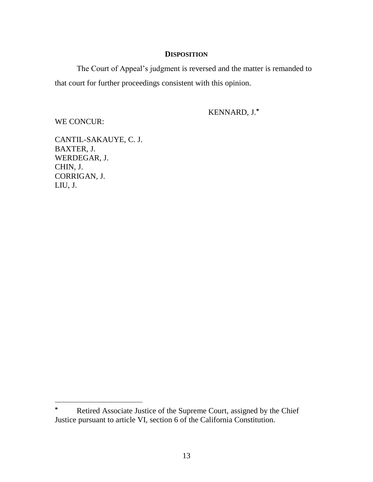# **DISPOSITION**

The Court of Appeal"s judgment is reversed and the matter is remanded to that court for further proceedings consistent with this opinion.

KENNARD, J.**\***

WE CONCUR:

 $\overline{a}$ 

CANTIL-SAKAUYE, C. J. BAXTER, J. WERDEGAR, J. CHIN, J. CORRIGAN, J. LIU, J.

**<sup>\*</sup>** Retired Associate Justice of the Supreme Court, assigned by the Chief Justice pursuant to article VI, section 6 of the California Constitution.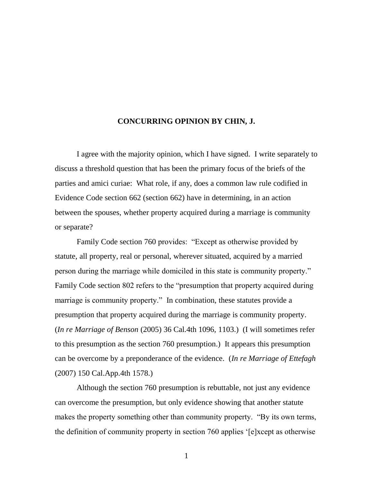## **CONCURRING OPINION BY CHIN, J.**

I agree with the majority opinion, which I have signed. I write separately to discuss a threshold question that has been the primary focus of the briefs of the parties and amici curiae: What role, if any, does a common law rule codified in Evidence Code section 662 (section 662) have in determining, in an action between the spouses, whether property acquired during a marriage is community or separate?

Family Code section 760 provides: "Except as otherwise provided by statute, all property, real or personal, wherever situated, acquired by a married person during the marriage while domiciled in this state is community property." Family Code section 802 refers to the "presumption that property acquired during marriage is community property." In combination, these statutes provide a presumption that property acquired during the marriage is community property. (*In re Marriage of Benson* (2005) 36 Cal.4th 1096, 1103.) (I will sometimes refer to this presumption as the section 760 presumption.) It appears this presumption can be overcome by a preponderance of the evidence. (*In re Marriage of Ettefagh* (2007) 150 Cal.App.4th 1578.)

Although the section 760 presumption is rebuttable, not just any evidence can overcome the presumption, but only evidence showing that another statute makes the property something other than community property. "By its own terms, the definition of community property in section 760 applies "[e]xcept as otherwise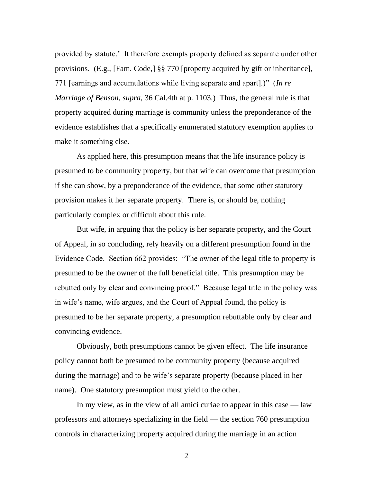provided by statute." It therefore exempts property defined as separate under other provisions. (E.g., [Fam. Code,] §§ 770 [property acquired by gift or inheritance], 771 [earnings and accumulations while living separate and apart].)" (*In re Marriage of Benson*, *supra*, 36 Cal.4th at p. 1103.) Thus, the general rule is that property acquired during marriage is community unless the preponderance of the evidence establishes that a specifically enumerated statutory exemption applies to make it something else.

As applied here, this presumption means that the life insurance policy is presumed to be community property, but that wife can overcome that presumption if she can show, by a preponderance of the evidence, that some other statutory provision makes it her separate property. There is, or should be, nothing particularly complex or difficult about this rule.

But wife, in arguing that the policy is her separate property, and the Court of Appeal, in so concluding, rely heavily on a different presumption found in the Evidence Code. Section 662 provides: "The owner of the legal title to property is presumed to be the owner of the full beneficial title. This presumption may be rebutted only by clear and convincing proof." Because legal title in the policy was in wife's name, wife argues, and the Court of Appeal found, the policy is presumed to be her separate property, a presumption rebuttable only by clear and convincing evidence.

Obviously, both presumptions cannot be given effect. The life insurance policy cannot both be presumed to be community property (because acquired during the marriage) and to be wife's separate property (because placed in her name). One statutory presumption must yield to the other.

In my view, as in the view of all amici curiae to appear in this case — law professors and attorneys specializing in the field — the section 760 presumption controls in characterizing property acquired during the marriage in an action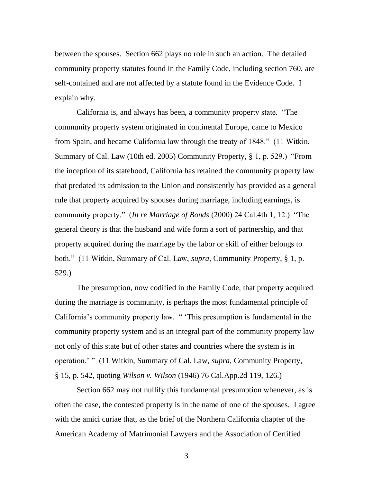between the spouses. Section 662 plays no role in such an action. The detailed community property statutes found in the Family Code, including section 760, are self-contained and are not affected by a statute found in the Evidence Code. I explain why.

California is, and always has been, a community property state. "The community property system originated in continental Europe, came to Mexico from Spain, and became California law through the treaty of 1848." (11 Witkin, Summary of Cal. Law (10th ed. 2005) Community Property, § 1, p. 529.) "From the inception of its statehood, California has retained the community property law that predated its admission to the Union and consistently has provided as a general rule that property acquired by spouses during marriage, including earnings, is community property." (*In re Marriage of Bonds* (2000) 24 Cal.4th 1, 12.) "The general theory is that the husband and wife form a sort of partnership, and that property acquired during the marriage by the labor or skill of either belongs to both." (11 Witkin, Summary of Cal. Law, *supra*, Community Property, § 1, p. 529.)

The presumption, now codified in the Family Code, that property acquired during the marriage is community, is perhaps the most fundamental principle of California's community property law. " This presumption is fundamental in the community property system and is an integral part of the community property law not only of this state but of other states and countries where the system is in operation." " (11 Witkin, Summary of Cal. Law, *supra*, Community Property, § 15, p. 542, quoting *Wilson v. Wilson* (1946) 76 Cal.App.2d 119, 126.)

Section 662 may not nullify this fundamental presumption whenever, as is often the case, the contested property is in the name of one of the spouses. I agree with the amici curiae that, as the brief of the Northern California chapter of the American Academy of Matrimonial Lawyers and the Association of Certified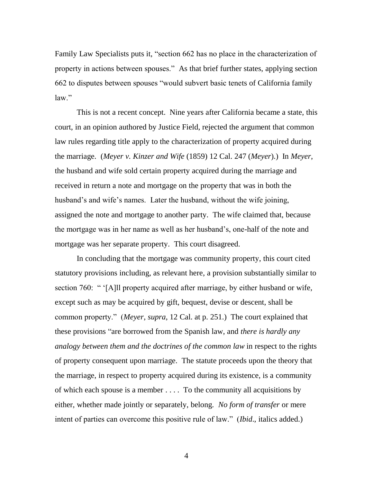Family Law Specialists puts it, "section 662 has no place in the characterization of property in actions between spouses." As that brief further states, applying section 662 to disputes between spouses "would subvert basic tenets of California family law."

This is not a recent concept. Nine years after California became a state, this court, in an opinion authored by Justice Field, rejected the argument that common law rules regarding title apply to the characterization of property acquired during the marriage. (*Meyer v. Kinzer and Wife* (1859) 12 Cal. 247 (*Meyer*).) In *Meyer*, the husband and wife sold certain property acquired during the marriage and received in return a note and mortgage on the property that was in both the husband's and wife's names. Later the husband, without the wife joining, assigned the note and mortgage to another party. The wife claimed that, because the mortgage was in her name as well as her husband"s, one-half of the note and mortgage was her separate property. This court disagreed.

In concluding that the mortgage was community property, this court cited statutory provisions including, as relevant here, a provision substantially similar to section 760: " '[A]ll property acquired after marriage, by either husband or wife, except such as may be acquired by gift, bequest, devise or descent, shall be common property." (*Meyer*, *supra*, 12 Cal. at p. 251.) The court explained that these provisions "are borrowed from the Spanish law, and *there is hardly any analogy between them and the doctrines of the common law* in respect to the rights of property consequent upon marriage. The statute proceeds upon the theory that the marriage, in respect to property acquired during its existence, is a community of which each spouse is a member . . . . To the community all acquisitions by either, whether made jointly or separately, belong. *No form of transfer* or mere intent of parties can overcome this positive rule of law." (*Ibid*., italics added.)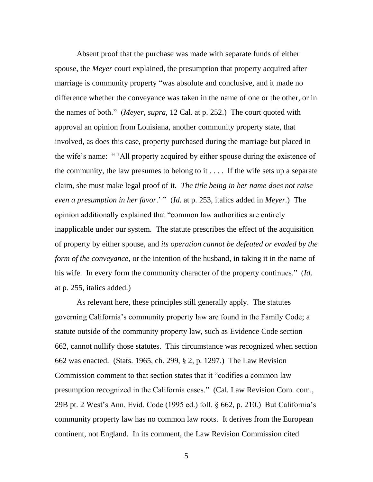Absent proof that the purchase was made with separate funds of either spouse, the *Meyer* court explained, the presumption that property acquired after marriage is community property "was absolute and conclusive, and it made no difference whether the conveyance was taken in the name of one or the other, or in the names of both." (*Meyer*, *supra*, 12 Cal. at p. 252.) The court quoted with approval an opinion from Louisiana, another community property state, that involved, as does this case, property purchased during the marriage but placed in the wife's name: " 'All property acquired by either spouse during the existence of the community, the law presumes to belong to it . . . . If the wife sets up a separate claim, she must make legal proof of it. *The title being in her name does not raise even a presumption in her favor*." " (*Id*. at p. 253, italics added in *Meyer*.) The opinion additionally explained that "common law authorities are entirely inapplicable under our system. The statute prescribes the effect of the acquisition of property by either spouse, and *its operation cannot be defeated or evaded by the form of the conveyance*, or the intention of the husband, in taking it in the name of his wife. In every form the community character of the property continues." (*Id*. at p. 255, italics added.)

As relevant here, these principles still generally apply. The statutes governing California"s community property law are found in the Family Code; a statute outside of the community property law, such as Evidence Code section 662, cannot nullify those statutes. This circumstance was recognized when section 662 was enacted. (Stats. 1965, ch. 299, § 2, p. 1297.) The Law Revision Commission comment to that section states that it "codifies a common law presumption recognized in the California cases." (Cal. Law Revision Com. com., 29B pt. 2 West"s Ann. Evid. Code (1995 ed.) foll. § 662, p. 210.) But California"s community property law has no common law roots. It derives from the European continent, not England. In its comment, the Law Revision Commission cited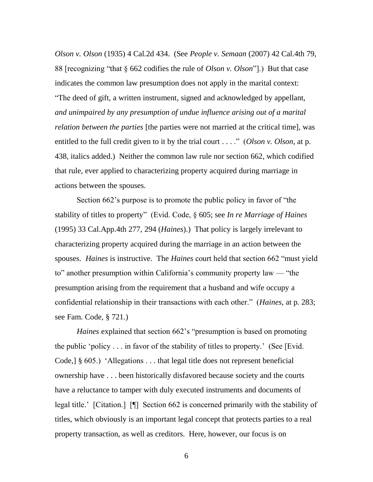*Olson v. Olson* (1935) 4 Cal.2d 434. (See *People v. Semaan* (2007) 42 Cal.4th 79, 88 [recognizing "that § 662 codifies the rule of *Olson v. Olson*"].) But that case indicates the common law presumption does not apply in the marital context: "The deed of gift, a written instrument, signed and acknowledged by appellant, *and unimpaired by any presumption of undue influence arising out of a marital relation between the parties* [the parties were not married at the critical time], was entitled to the full credit given to it by the trial court . . . ." (*Olson v. Olson*, at p. 438, italics added.) Neither the common law rule nor section 662, which codified that rule, ever applied to characterizing property acquired during marriage in actions between the spouses.

Section 662's purpose is to promote the public policy in favor of "the stability of titles to property" (Evid. Code, § 605; see *In re Marriage of Haines* (1995) 33 Cal.App.4th 277, 294 (*Haines*).) That policy is largely irrelevant to characterizing property acquired during the marriage in an action between the spouses. *Haines* is instructive. The *Haines* court held that section 662 "must yield to" another presumption within California's community property law — "the presumption arising from the requirement that a husband and wife occupy a confidential relationship in their transactions with each other." (*Haines*, at p. 283; see Fam. Code, § 721.)

*Haines* explained that section 662's "presumption is based on promoting the public "policy . . . in favor of the stability of titles to property." (See [Evid. Code,] § 605.) "Allegations . . . that legal title does not represent beneficial ownership have . . . been historically disfavored because society and the courts have a reluctance to tamper with duly executed instruments and documents of legal title." [Citation.] [¶] Section 662 is concerned primarily with the stability of titles, which obviously is an important legal concept that protects parties to a real property transaction, as well as creditors. Here, however, our focus is on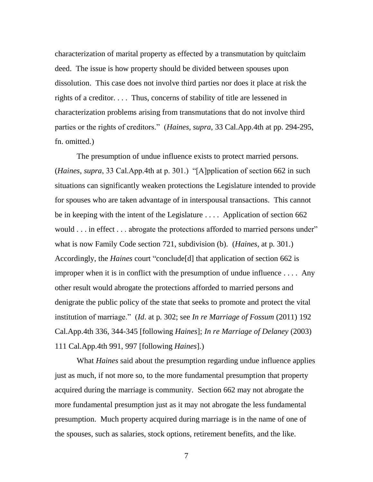characterization of marital property as effected by a transmutation by quitclaim deed. The issue is how property should be divided between spouses upon dissolution. This case does not involve third parties nor does it place at risk the rights of a creditor. . . . Thus, concerns of stability of title are lessened in characterization problems arising from transmutations that do not involve third parties or the rights of creditors." (*Haines, supra*, 33 Cal.App.4th at pp. 294-295, fn. omitted.)

The presumption of undue influence exists to protect married persons. (*Haines*, *supra*, 33 Cal.App.4th at p. 301.) "[A]pplication of section 662 in such situations can significantly weaken protections the Legislature intended to provide for spouses who are taken advantage of in interspousal transactions. This cannot be in keeping with the intent of the Legislature . . . . Application of section 662 would . . . in effect . . . abrogate the protections afforded to married persons under" what is now Family Code section 721, subdivision (b). (*Haines*, at p. 301.) Accordingly, the *Haines* court "conclude[d] that application of section 662 is improper when it is in conflict with the presumption of undue influence . . . . Any other result would abrogate the protections afforded to married persons and denigrate the public policy of the state that seeks to promote and protect the vital institution of marriage." (*Id*. at p. 302; see *In re Marriage of Fossum* (2011) 192 Cal.App.4th 336, 344-345 [following *Haines*]; *In re Marriage of Delaney* (2003) 111 Cal.App.4th 991, 997 [following *Haines*].)

What *Haines* said about the presumption regarding undue influence applies just as much, if not more so, to the more fundamental presumption that property acquired during the marriage is community. Section 662 may not abrogate the more fundamental presumption just as it may not abrogate the less fundamental presumption. Much property acquired during marriage is in the name of one of the spouses, such as salaries, stock options, retirement benefits, and the like.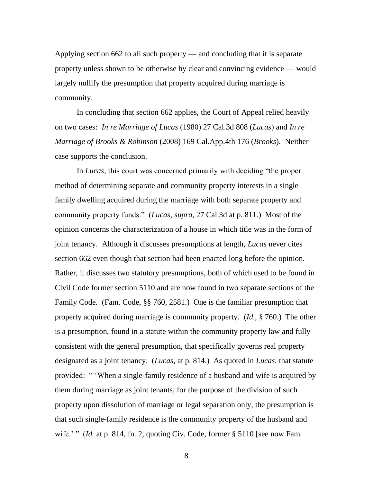Applying section 662 to all such property — and concluding that it is separate property unless shown to be otherwise by clear and convincing evidence — would largely nullify the presumption that property acquired during marriage is community.

In concluding that section 662 applies, the Court of Appeal relied heavily on two cases: *In re Marriage of Lucas* (1980) 27 Cal.3d 808 (*Lucas*) and *In re Marriage of Brooks & Robinson* (2008) 169 Cal.App.4th 176 (*Brooks*). Neither case supports the conclusion.

In *Lucas*, this court was concerned primarily with deciding "the proper method of determining separate and community property interests in a single family dwelling acquired during the marriage with both separate property and community property funds." (*Lucas*, *supra*, 27 Cal.3d at p. 811.) Most of the opinion concerns the characterization of a house in which title was in the form of joint tenancy. Although it discusses presumptions at length, *Lucas* never cites section 662 even though that section had been enacted long before the opinion. Rather, it discusses two statutory presumptions, both of which used to be found in Civil Code former section 5110 and are now found in two separate sections of the Family Code. (Fam. Code, §§ 760, 2581.) One is the familiar presumption that property acquired during marriage is community property. (*Id*., § 760.) The other is a presumption, found in a statute within the community property law and fully consistent with the general presumption, that specifically governs real property designated as a joint tenancy. (*Lucas*, at p. 814.) As quoted in *Lucas*, that statute provided: " "When a single-family residence of a husband and wife is acquired by them during marriage as joint tenants, for the purpose of the division of such property upon dissolution of marriage or legal separation only, the presumption is that such single-family residence is the community property of the husband and wife." " (*Id.* at p. 814, fn. 2, quoting Civ. Code, former § 5110 [see now Fam.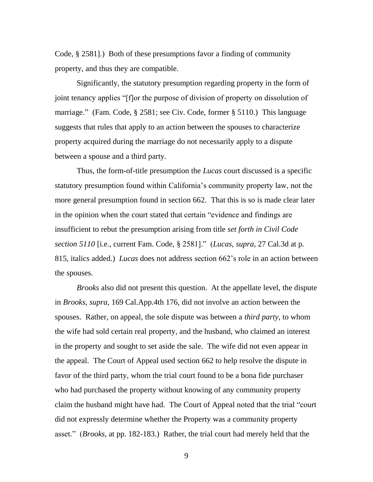Code, § 2581].) Both of these presumptions favor a finding of community property, and thus they are compatible.

Significantly, the statutory presumption regarding property in the form of joint tenancy applies "[f]or the purpose of division of property on dissolution of marriage." (Fam. Code, § 2581; see Civ. Code, former § 5110.) This language suggests that rules that apply to an action between the spouses to characterize property acquired during the marriage do not necessarily apply to a dispute between a spouse and a third party.

Thus, the form-of-title presumption the *Lucas* court discussed is a specific statutory presumption found within California"s community property law, not the more general presumption found in section 662. That this is so is made clear later in the opinion when the court stated that certain "evidence and findings are insufficient to rebut the presumption arising from title *set forth in Civil Code section 5110* [i.e., current Fam. Code, § 2581]." (*Lucas*, *supra*, 27 Cal.3d at p. 815, italics added.) *Lucas* does not address section 662"s role in an action between the spouses.

*Brooks* also did not present this question. At the appellate level, the dispute in *Brooks*, *supra*, 169 Cal.App.4th 176, did not involve an action between the spouses. Rather, on appeal, the sole dispute was between a *third party*, to whom the wife had sold certain real property, and the husband, who claimed an interest in the property and sought to set aside the sale. The wife did not even appear in the appeal. The Court of Appeal used section 662 to help resolve the dispute in favor of the third party, whom the trial court found to be a bona fide purchaser who had purchased the property without knowing of any community property claim the husband might have had. The Court of Appeal noted that the trial "court did not expressly determine whether the Property was a community property asset." (*Brooks*, at pp. 182-183.) Rather, the trial court had merely held that the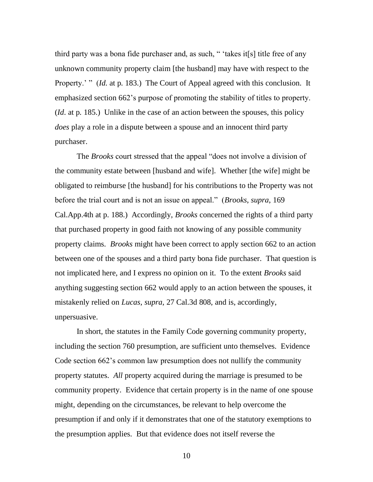third party was a bona fide purchaser and, as such, " "takes it[s] title free of any unknown community property claim [the husband] may have with respect to the Property.'" *(Id. at p. 183.)* The Court of Appeal agreed with this conclusion. It emphasized section 662"s purpose of promoting the stability of titles to property. (*Id*. at p. 185.) Unlike in the case of an action between the spouses, this policy *does* play a role in a dispute between a spouse and an innocent third party purchaser.

The *Brooks* court stressed that the appeal "does not involve a division of the community estate between [husband and wife]. Whether [the wife] might be obligated to reimburse [the husband] for his contributions to the Property was not before the trial court and is not an issue on appeal." (*Brooks*, *supra*, 169 Cal.App.4th at p. 188.) Accordingly, *Brooks* concerned the rights of a third party that purchased property in good faith not knowing of any possible community property claims. *Brooks* might have been correct to apply section 662 to an action between one of the spouses and a third party bona fide purchaser. That question is not implicated here, and I express no opinion on it. To the extent *Brooks* said anything suggesting section 662 would apply to an action between the spouses, it mistakenly relied on *Lucas*, *supra*, 27 Cal.3d 808, and is, accordingly, unpersuasive.

In short, the statutes in the Family Code governing community property, including the section 760 presumption, are sufficient unto themselves. Evidence Code section 662"s common law presumption does not nullify the community property statutes. *All* property acquired during the marriage is presumed to be community property. Evidence that certain property is in the name of one spouse might, depending on the circumstances, be relevant to help overcome the presumption if and only if it demonstrates that one of the statutory exemptions to the presumption applies. But that evidence does not itself reverse the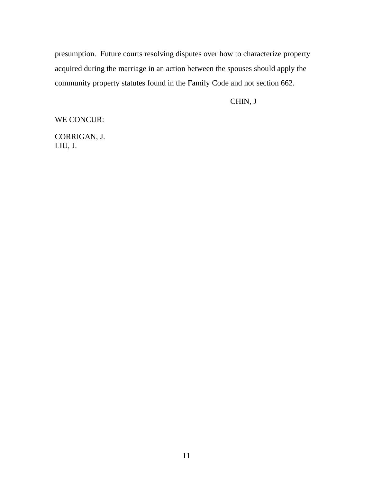presumption. Future courts resolving disputes over how to characterize property acquired during the marriage in an action between the spouses should apply the community property statutes found in the Family Code and not section 662.

CHIN, J

WE CONCUR:

CORRIGAN, J. LIU, J.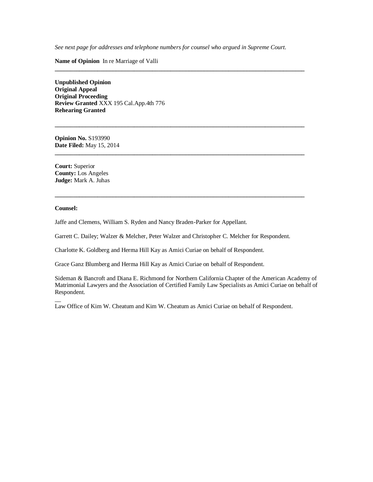*See next page for addresses and telephone numbers for counsel who argued in Supreme Court.*

**\_\_\_\_\_\_\_\_\_\_\_\_\_\_\_\_\_\_\_\_\_\_\_\_\_\_\_\_\_\_\_\_\_\_\_\_\_\_\_\_\_\_\_\_\_\_\_\_\_\_\_\_\_\_\_\_\_\_\_\_\_\_\_\_\_\_\_\_\_\_\_\_\_\_\_\_\_\_\_\_\_\_**

**\_\_\_\_\_\_\_\_\_\_\_\_\_\_\_\_\_\_\_\_\_\_\_\_\_\_\_\_\_\_\_\_\_\_\_\_\_\_\_\_\_\_\_\_\_\_\_\_\_\_\_\_\_\_\_\_\_\_\_\_\_\_\_\_\_\_\_\_\_\_\_\_\_\_\_\_\_\_\_\_\_\_**

**\_\_\_\_\_\_\_\_\_\_\_\_\_\_\_\_\_\_\_\_\_\_\_\_\_\_\_\_\_\_\_\_\_\_\_\_\_\_\_\_\_\_\_\_\_\_\_\_\_\_\_\_\_\_\_\_\_\_\_\_\_\_\_\_\_\_\_\_\_\_\_\_\_\_\_\_\_\_\_\_\_\_**

**\_\_\_\_\_\_\_\_\_\_\_\_\_\_\_\_\_\_\_\_\_\_\_\_\_\_\_\_\_\_\_\_\_\_\_\_\_\_\_\_\_\_\_\_\_\_\_\_\_\_\_\_\_\_\_\_\_\_\_\_\_\_\_\_\_\_\_\_\_\_\_\_\_\_\_\_\_\_\_\_\_\_**

**Name of Opinion** In re Marriage of Valli

**Unpublished Opinion Original Appeal Original Proceeding Review Granted** XXX 195 Cal.App.4th 776 **Rehearing Granted**

**Opinion No.** S193990 **Date Filed:** May 15, 2014

**Court:** Superior **County:** Los Angeles **Judge:** Mark A. Juhas

#### **Counsel:**

 $\overline{a}$ 

Jaffe and Clemens, William S. Ryden and Nancy Braden-Parker for Appellant.

Garrett C. Dailey; Walzer & Melcher, Peter Walzer and Christopher C. Melcher for Respondent.

Charlotte K. Goldberg and Herma Hill Kay as Amici Curiae on behalf of Respondent.

Grace Ganz Blumberg and Herma Hill Kay as Amici Curiae on behalf of Respondent.

Sideman & Bancroft and Diana E. Richmond for Northern California Chapter of the American Academy of Matrimonial Lawyers and the Association of Certified Family Law Specialists as Amici Curiae on behalf of Respondent.

Law Office of Kim W. Cheatum and Kim W. Cheatum as Amici Curiae on behalf of Respondent.